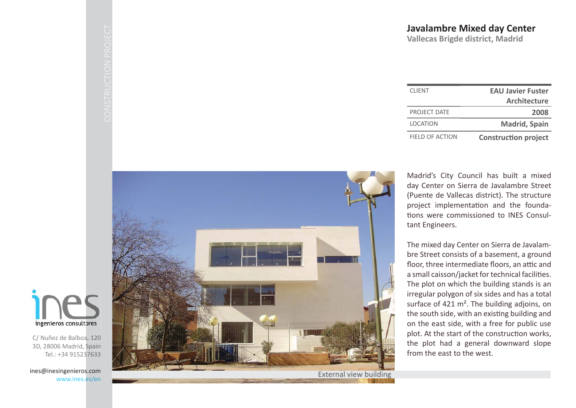| <b>CLIENT</b>   | <b>EAU Javier Fuster</b>    |
|-----------------|-----------------------------|
|                 | <b>Architecture</b>         |
| PROJECT DATE    | 2008                        |
| <b>LOCATION</b> | <b>Madrid, Spain</b>        |
| FIFLD OF ACTION | <b>Construction project</b> |

Madrid's City Council has built a mixed day Center on Sierra de Javalambre Street (Puente de Vallecas district). The structure project implementation and the founda-Ɵ ons were commissioned to INES Consultant Engineers.

The mixed day Center on Sierra de Javalambre Street consists of a basement, a ground floor, three intermediate floors, an attic and a small caisson/jacket for technical facilities. The plot on which the building stands is an irregular polygon of six sides and has a total surface of 421 m<sup>2</sup>. The building adjoins, on the south side, with an existing building and on the east side, with a free for public use plot. At the start of the construction works, the plot had a general downward slope from the east to the west.



External view building



C/ Nuñez de Balboa, 120 3D, 28006 Madrid, Spain Tel.: +34 915237633

ines@inesingenieros.com www.ines.es/en